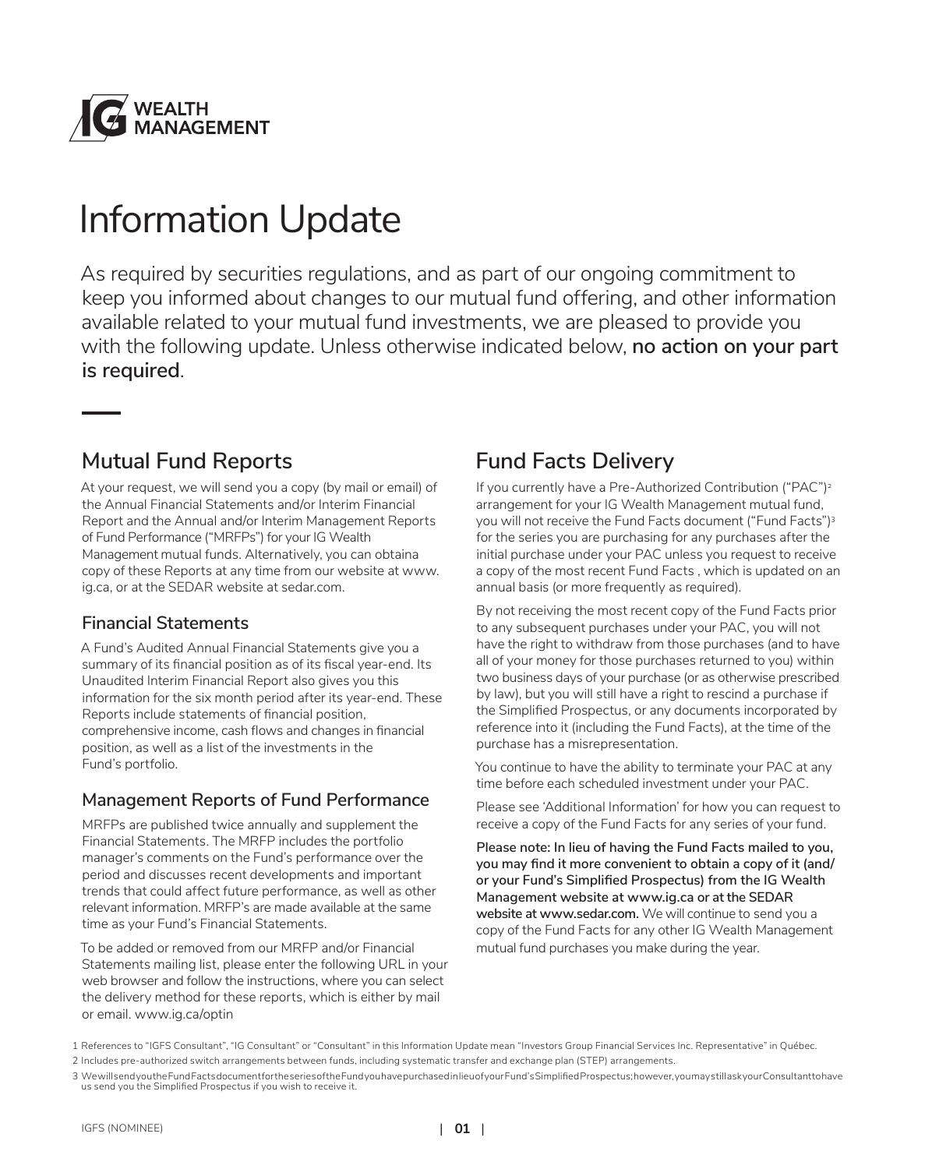

# Information Update

As required by securities regulations, and as part of our ongoing commitment to keep you informed about changes to our mutual fund offering, and other information available related to your mutual fund investments, we are pleased to provide you with the following update. Unless otherwise indicated below, **no action on your part is required**.

### **Mutual Fund Reports**

At your request, we will send you a copy (by mail or email) of the Annual Financial Statements and/or Interim Financial Report and the Annual and/or Interim Management Reports of Fund Performance ("MRFPs") for your IG Wealth Management mutual funds. Alternatively, you can obtaina copy of these Reports at any time from our website at www. ig.ca, or at the SEDAR website at sedar.com.

#### **Financial Statements**

A Fund's Audited Annual Financial Statements give you a summary of its financial position as of its fiscal year-end. Its Unaudited Interim Financial Report also gives you this information for the six month period after its year-end. These Reports include statements of financial position, comprehensive income, cash flows and changes in financial position, as well as a list of the investments in the Fund's portfolio.

#### **Management Reports of Fund Performance**

MRFPs are published twice annually and supplement the Financial Statements. The MRFP includes the portfolio manager's comments on the Fund's performance over the period and discusses recent developments and important trends that could affect future performance, as well as other relevant information. MRFP's are made available at the same time as your Fund's Financial Statements.

To be added or removed from our MRFP and/or Financial Statements mailing list, please enter the following URL in your web browser and follow the instructions, where you can select the delivery method for these reports, which is either by mail or email. www.ig.ca/optin

### **Fund Facts Delivery**

If you currently have a Pre-Authorized Contribution ("PAC")<sup>2</sup> arrangement for your IG Wealth Management mutual fund, you will not receive the Fund Facts document ("Fund Facts")<sup>3</sup> for the series you are purchasing for any purchases after the initial purchase under your PAC unless you request to receive a copy of the most recent Fund Facts , which is updated on an annual basis (or more frequently as required).

By not receiving the most recent copy of the Fund Facts prior to any subsequent purchases under your PAC, you will not have the right to withdraw from those purchases (and to have all of your money for those purchases returned to you) within two business days of your purchase (or as otherwise prescribed by law), but you will still have a right to rescind a purchase if the Simplified Prospectus, or any documents incorporated by reference into it (including the Fund Facts), at the time of the purchase has a misrepresentation.

You continue to have the ability to terminate your PAC at any time before each scheduled investment under your PAC.

Please see 'Additional Information' for how you can request to receive a copy of the Fund Facts for any series of your fund.

**Please note: In lieu of having the Fund Facts mailed to you, you may find it more convenient to obtain a copy of it (and/ or your Fund's Simplified Prospectus) from the IG Wealth Management website at www.ig.ca or at the SEDAR website at www.sedar.com.** We will continue to send you a copy of the Fund Facts for any other IG Wealth Management mutual fund purchases you make during the year.

<sup>1</sup> References to "IGFS Consultant", "IG Consultant" or "Consultant" in this Information Update mean "Investors Group Financial Services Inc. Representative" in Québec.

<sup>2</sup> Includes pre-authorized switch arrangements between funds, including systematic transfer and exchange plan (STEP) arrangements.

<sup>3</sup> We will send you the Fund Facts document for the series of the Fund you have purchased in lieu of your Fund's Simplified Prospectus; however, you may still ask your Consultant to have us send you the Simplified Prospectus if you wish to receive it.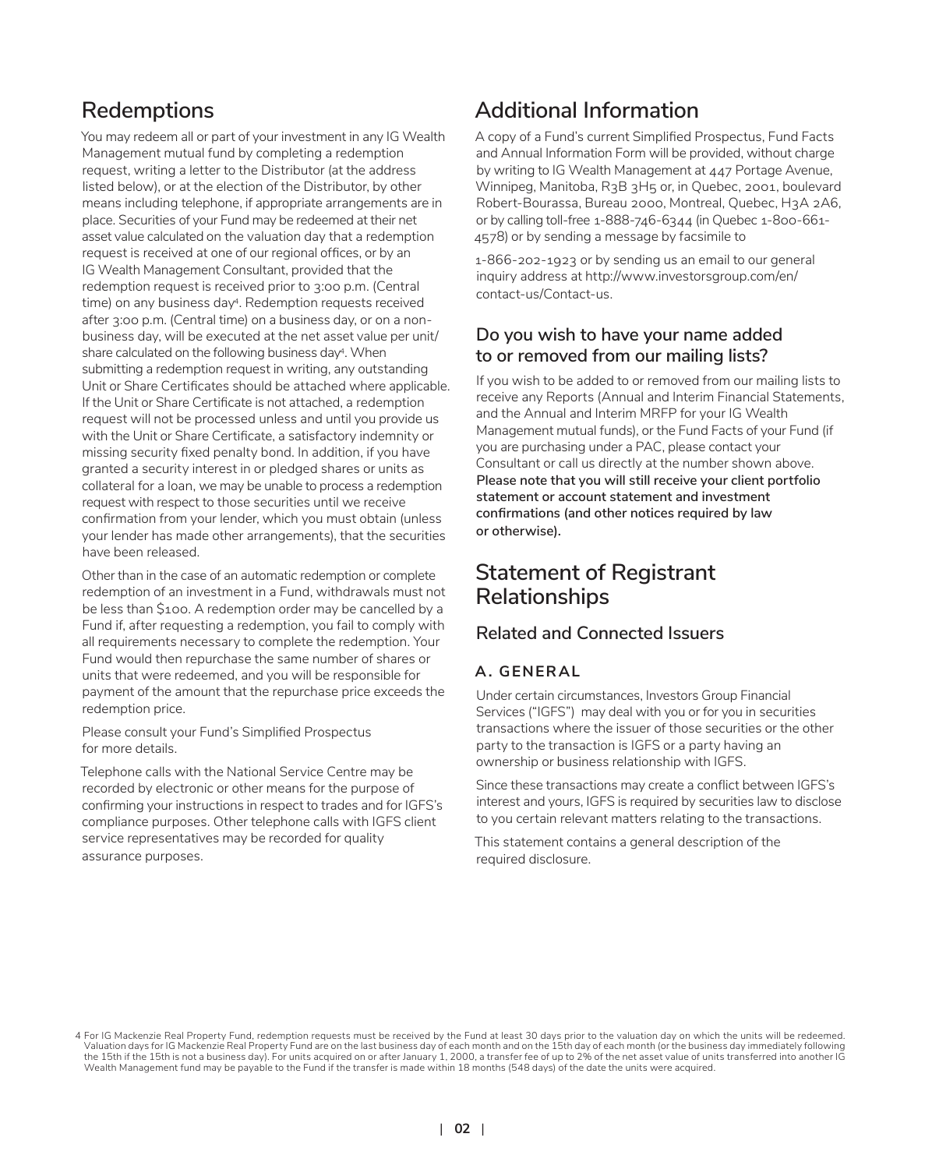### **Redemptions**

You may redeem all or part of your investment in any IG Wealth Management mutual fund by completing a redemption request, writing a letter to the Distributor (at the address listed below), or at the election of the Distributor, by other means including telephone, if appropriate arrangements are in place. Securities of your Fund may be redeemed at their net asset value calculated on the valuation day that a redemption request is received at one of our regional offices, or by an IG Wealth Management Consultant, provided that the redemption request is received prior to 3:00 p.m. (Central time) on any business day<sup>4</sup>. Redemption requests received after 3:00 p.m. (Central time) on a business day, or on a nonbusiness day, will be executed at the net asset value per unit/ share calculated on the following business day4. When submitting a redemption request in writing, any outstanding Unit or Share Certificates should be attached where applicable. If the Unit or Share Certificate is not attached, a redemption request will not be processed unless and until you provide us with the Unit or Share Certificate, a satisfactory indemnity or missing security fixed penalty bond. In addition, if you have granted a security interest in or pledged shares or units as collateral for a loan, we may be unable to process a redemption request with respect to those securities until we receive confirmation from your lender, which you must obtain (unless your lender has made other arrangements), that the securities have been released.

Other than in the case of an automatic redemption or complete redemption of an investment in a Fund, withdrawals must not be less than \$100. A redemption order may be cancelled by a Fund if, after requesting a redemption, you fail to comply with all requirements necessary to complete the redemption. Your Fund would then repurchase the same number of shares or units that were redeemed, and you will be responsible for payment of the amount that the repurchase price exceeds the redemption price.

Please consult your Fund's Simplified Prospectus for more details.

Telephone calls with the National Service Centre may be recorded by electronic or other means for the purpose of confirming your instructions in respect to trades and for IGFS's compliance purposes. Other telephone calls with IGFS client service representatives may be recorded for quality assurance purposes.

### **Additional Information**

A copy of a Fund's current Simplified Prospectus, Fund Facts and Annual Information Form will be provided, without charge by writing to IG Wealth Management at 447 Portage Avenue, Winnipeg, Manitoba, R3B 3H5 or, in Quebec, 2001, boulevard Robert-Bourassa, Bureau 2000, Montreal, Quebec, H3A 2A6, or by calling toll-free 1-888-746-6344 (in Quebec 1-800-661- 4578) or by sending a message by facsimile to

1-866-202-1923 or by sending us an email to our general inquiry address at http://www.investorsgroup.com/en/ contact-us/Contact-us.

#### **Do you wish to have your name added to or removed from our mailing lists?**

If you wish to be added to or removed from our mailing lists to receive any Reports (Annual and Interim Financial Statements, and the Annual and Interim MRFP for your IG Wealth Management mutual funds), or the Fund Facts of your Fund (if you are purchasing under a PAC, please contact your Consultant or call us directly at the number shown above. **Please note that you will still receive your client portfolio statement or account statement and investment confirmations (and other notices required by law or otherwise).**

### **Statement of Registrant Relationships**

#### **Related and Connected Issuers**

#### **A. GENERAL**

Under certain circumstances, Investors Group Financial Services ("IGFS") may deal with you or for you in securities transactions where the issuer of those securities or the other party to the transaction is IGFS or a party having an ownership or business relationship with IGFS.

Since these transactions may create a conflict between IGFS's interest and yours, IGFS is required by securities law to disclose to you certain relevant matters relating to the transactions.

This statement contains a general description of the required disclosure.

<sup>4</sup> For IG Mackenzie Real Property Fund, redemption requests must be received by the Fund at least 30 days prior to the valuation day on which the units will be redeemed. Valuation days for IG Mackenzie Real Property Fund are on the last business day of each month and on the 15th day of each month (or the business day immediately following<br>the 15th if the 15th is not a business day). For un Wealth Management fund may be payable to the Fund if the transfer is made within 18 months (548 days) of the date the units were acquired.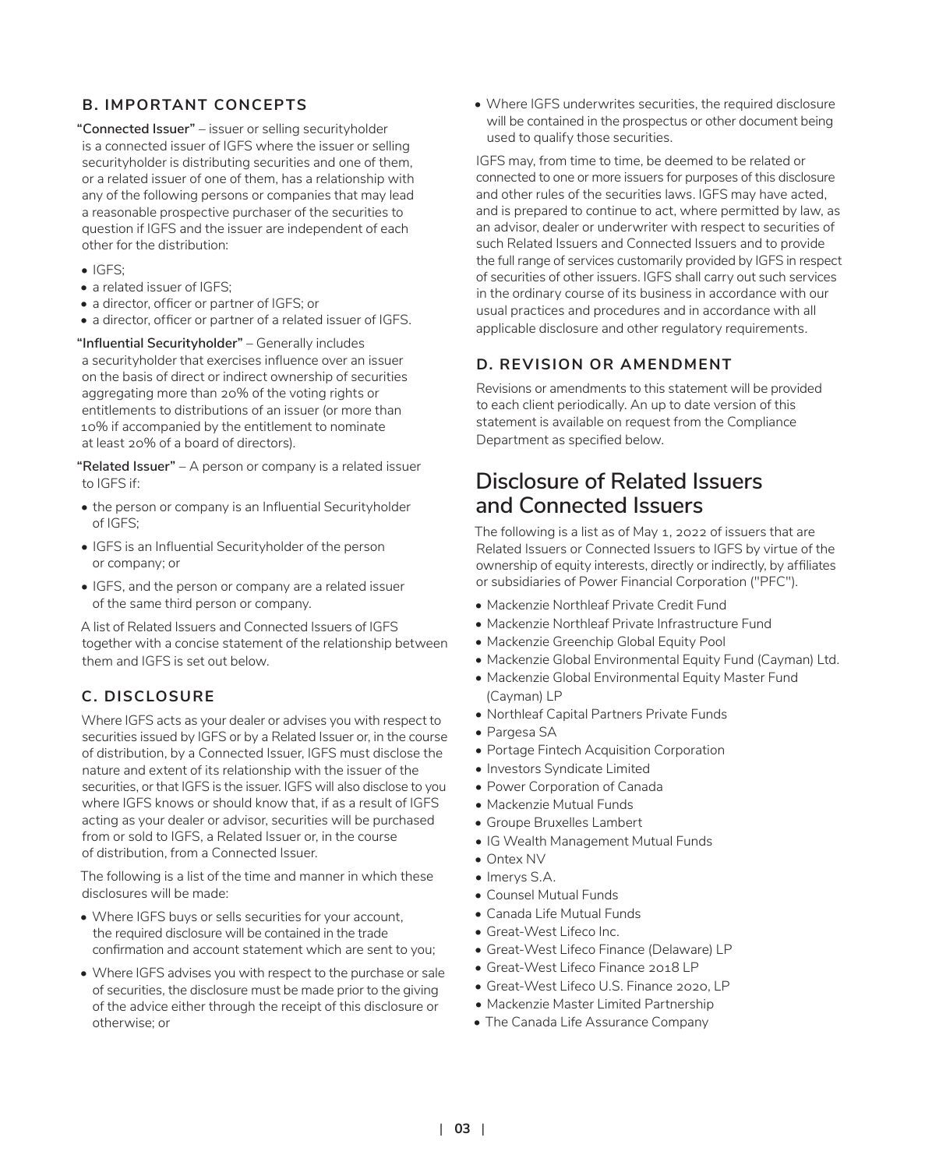#### **B. IMPORTANT CONCEPTS**

**"Connected Issuer"** – issuer or selling securityholder is a connected issuer of IGFS where the issuer or selling securityholder is distributing securities and one of them, or a related issuer of one of them, has a relationship with any of the following persons or companies that may lead a reasonable prospective purchaser of the securities to question if IGFS and the issuer are independent of each other for the distribution:

- IGFS;
- a related issuer of IGFS;
- a director, officer or partner of IGFS; or
- a director, officer or partner of a related issuer of IGFS.

**"Influential Securityholder"** – Generally includes a securityholder that exercises influence over an issuer on the basis of direct or indirect ownership of securities aggregating more than 20% of the voting rights or entitlements to distributions of an issuer (or more than 10% if accompanied by the entitlement to nominate at least 20% of a board of directors).

**"Related Issuer"** – A person or company is a related issuer to IGFS if:

- the person or company is an Influential Securityholder of IGFS;
- IGFS is an Influential Securityholder of the person or company; or
- IGFS, and the person or company are a related issuer of the same third person or company.

A list of Related Issuers and Connected Issuers of IGFS together with a concise statement of the relationship between them and IGFS is set out below.

#### **C. DISCLOSURE**

Where IGFS acts as your dealer or advises you with respect to securities issued by IGFS or by a Related Issuer or, in the course of distribution, by a Connected Issuer, IGFS must disclose the nature and extent of its relationship with the issuer of the securities, or that IGFS is the issuer. IGFS will also disclose to you where IGFS knows or should know that, if as a result of IGFS acting as your dealer or advisor, securities will be purchased from or sold to IGFS, a Related Issuer or, in the course of distribution, from a Connected Issuer.

The following is a list of the time and manner in which these disclosures will be made:

- Where IGFS buys or sells securities for your account, the required disclosure will be contained in the trade confirmation and account statement which are sent to you;
- Where IGFS advises you with respect to the purchase or sale of securities, the disclosure must be made prior to the giving of the advice either through the receipt of this disclosure or otherwise; or

• Where IGFS underwrites securities, the required disclosure will be contained in the prospectus or other document being used to qualify those securities.

IGFS may, from time to time, be deemed to be related or connected to one or more issuers for purposes of this disclosure and other rules of the securities laws. IGFS may have acted, and is prepared to continue to act, where permitted by law, as an advisor, dealer or underwriter with respect to securities of such Related Issuers and Connected Issuers and to provide the full range of services customarily provided by IGFS in respect of securities of other issuers. IGFS shall carry out such services in the ordinary course of its business in accordance with our usual practices and procedures and in accordance with all applicable disclosure and other regulatory requirements.

#### **D. REVISION OR AMENDMENT**

Revisions or amendments to this statement will be provided to each client periodically. An up to date version of this statement is available on request from the Compliance Department as specified below.

### **Disclosure of Related Issuers and Connected Issuers**

The following is a list as of May 1, 2022 of issuers that are Related Issuers or Connected Issuers to IGFS by virtue of the ownership of equity interests, directly or indirectly, by affiliates or subsidiaries of Power Financial Corporation ("PFC").

- Mackenzie Northleaf Private Credit Fund
- Mackenzie Northleaf Private Infrastructure Fund
- Mackenzie Greenchip Global Equity Pool
- Mackenzie Global Environmental Equity Fund (Cayman) Ltd.
- Mackenzie Global Environmental Equity Master Fund (Cayman) LP
- Northleaf Capital Partners Private Funds
- Pargesa SA
- Portage Fintech Acquisition Corporation
- Investors Syndicate Limited
- Power Corporation of Canada
- Mackenzie Mutual Funds
- Groupe Bruxelles Lambert
- IG Wealth Management Mutual Funds
- Ontex NV
- Imerys S.A.
- Counsel Mutual Funds
- Canada Life Mutual Funds
- Great-West Lifeco Inc.
- Great-West Lifeco Finance (Delaware) LP
- Great-West Lifeco Finance 2018 LP
- Great-West Lifeco U.S. Finance 2020, LP
- Mackenzie Master Limited Partnership
- The Canada Life Assurance Company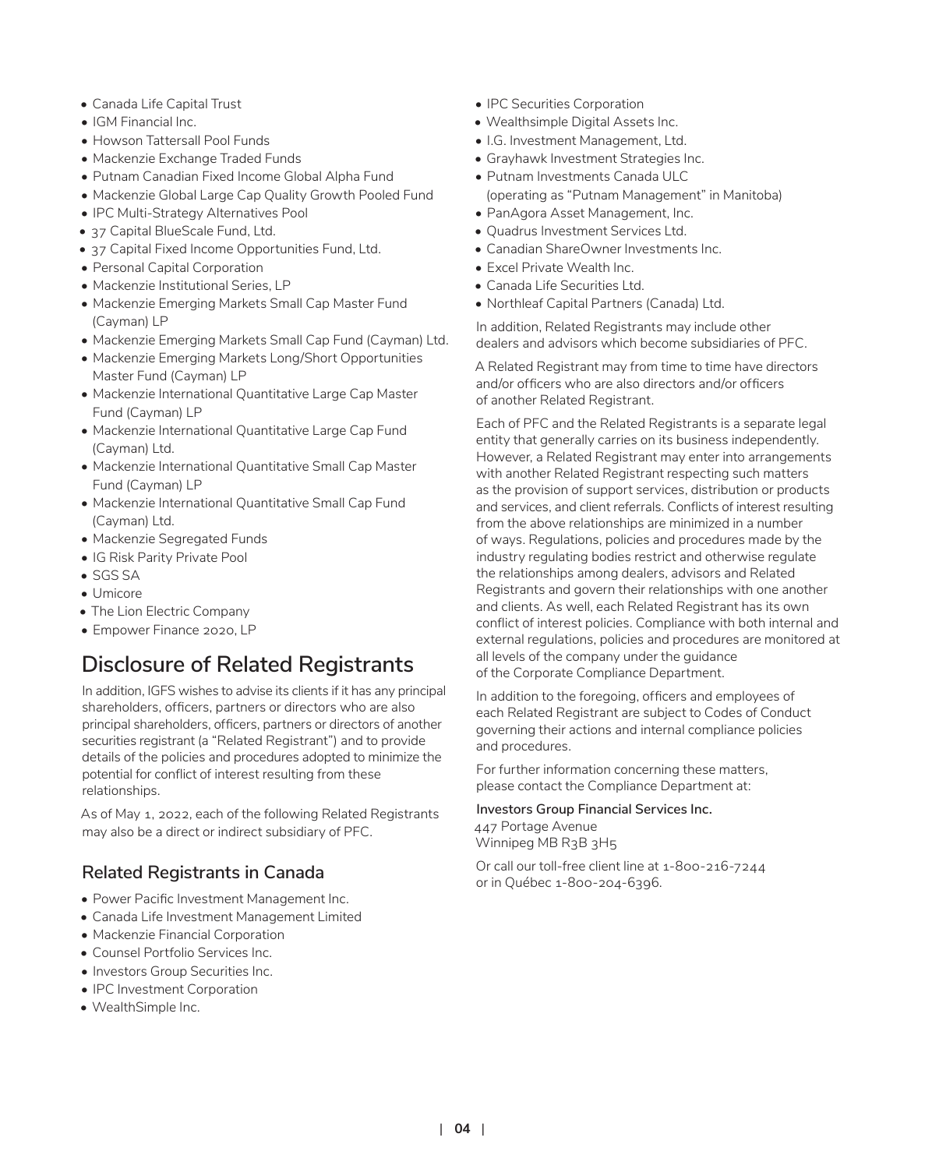- Canada Life Capital Trust
- IGM Financial Inc.
- Howson Tattersall Pool Funds
- Mackenzie Exchange Traded Funds
- Putnam Canadian Fixed Income Global Alpha Fund
- Mackenzie Global Large Cap Quality Growth Pooled Fund
- IPC Multi-Strategy Alternatives Pool
- 37 Capital BlueScale Fund, Ltd.
- 37 Capital Fixed Income Opportunities Fund, Ltd.
- Personal Capital Corporation
- Mackenzie Institutional Series, LP
- Mackenzie Emerging Markets Small Cap Master Fund (Cayman) LP
- Mackenzie Emerging Markets Small Cap Fund (Cayman) Ltd.
- Mackenzie Emerging Markets Long/Short Opportunities Master Fund (Cayman) LP
- Mackenzie International Quantitative Large Cap Master Fund (Cayman) LP
- Mackenzie International Quantitative Large Cap Fund (Cayman) Ltd.
- Mackenzie International Quantitative Small Cap Master Fund (Cayman) LP
- Mackenzie International Quantitative Small Cap Fund (Cayman) Ltd.
- Mackenzie Segregated Funds
- IG Risk Parity Private Pool
- SGS SA
- Umicore
- The Lion Electric Company
- Empower Finance 2020, LP

## **Disclosure of Related Registrants**

In addition, IGFS wishes to advise its clients if it has any principal shareholders, officers, partners or directors who are also principal shareholders, officers, partners or directors of another securities registrant (a "Related Registrant") and to provide details of the policies and procedures adopted to minimize the potential for conflict of interest resulting from these relationships.

As of May 1, 2022, each of the following Related Registrants may also be a direct or indirect subsidiary of PFC.

#### **Related Registrants in Canada**

- Power Pacific Investment Management Inc.
- Canada Life Investment Management Limited
- Mackenzie Financial Corporation
- Counsel Portfolio Services Inc.
- Investors Group Securities Inc.
- IPC Investment Corporation
- WealthSimple Inc.
- IPC Securities Corporation
- Wealthsimple Digital Assets Inc.
- I.G. Investment Management, Ltd.
- Grayhawk Investment Strategies Inc.
- Putnam Investments Canada ULC (operating as "Putnam Management" in Manitoba)
- PanAgora Asset Management, Inc.
- Quadrus Investment Services Ltd.
- Canadian ShareOwner Investments Inc.
- Excel Private Wealth Inc.
- Canada Life Securities Ltd.
- Northleaf Capital Partners (Canada) Ltd.

In addition, Related Registrants may include other dealers and advisors which become subsidiaries of PFC.

A Related Registrant may from time to time have directors and/or officers who are also directors and/or officers of another Related Registrant.

Each of PFC and the Related Registrants is a separate legal entity that generally carries on its business independently. However, a Related Registrant may enter into arrangements with another Related Registrant respecting such matters as the provision of support services, distribution or products and services, and client referrals. Conflicts of interest resulting from the above relationships are minimized in a number of ways. Regulations, policies and procedures made by the industry regulating bodies restrict and otherwise regulate the relationships among dealers, advisors and Related Registrants and govern their relationships with one another and clients. As well, each Related Registrant has its own conflict of interest policies. Compliance with both internal and external regulations, policies and procedures are monitored at all levels of the company under the guidance of the Corporate Compliance Department.

In addition to the foregoing, officers and employees of each Related Registrant are subject to Codes of Conduct governing their actions and internal compliance policies and procedures.

For further information concerning these matters, please contact the Compliance Department at:

**Investors Group Financial Services Inc.** 447 Portage Avenue

Winnipeg MB R3B 3H5

Or call our toll-free client line at 1-800-216-7244 or in Québec 1-800-204-6396.